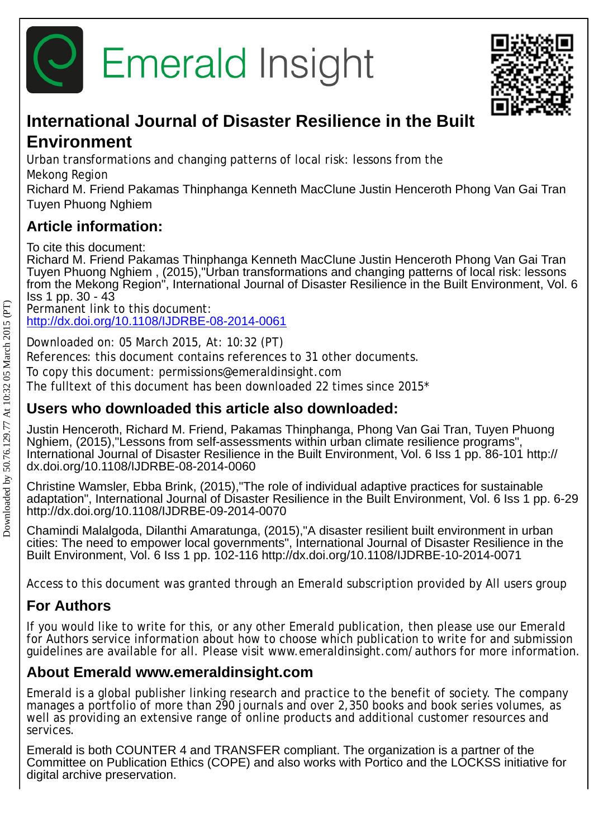



## **International Journal of Disaster Resilience in the Built Environment**

Urban transformations and changing patterns of local risk: lessons from the Mekong Region

Richard M. Friend Pakamas Thinphanga Kenneth MacClune Justin Henceroth Phong Van Gai Tran Tuyen Phuong Nghiem

## **Article information:**

To cite this document:

Richard M. Friend Pakamas Thinphanga Kenneth MacClune Justin Henceroth Phong Van Gai Tran Tuyen Phuong Nghiem , (2015),"Urban transformations and changing patterns of local risk: lessons from the Mekong Region", International Journal of Disaster Resilience in the Built Environment, Vol. 6 Iss 1 pp. 30 - 43

Permanent link to this document: <http://dx.doi.org/10.1108/IJDRBE-08-2014-0061>

Downloaded on: 05 March 2015, At: 10:32 (PT)

References: this document contains references to 31 other documents.

To copy this document: permissions@emeraldinsight.com

The fulltext of this document has been downloaded 22 times since 2015\*

## **Users who downloaded this article also downloaded:**

Justin Henceroth, Richard M. Friend, Pakamas Thinphanga, Phong Van Gai Tran, Tuyen Phuong Nghiem, (2015),"Lessons from self-assessments within urban climate resilience programs", International Journal of Disaster Resilience in the Built Environment, Vol. 6 Iss 1 pp. 86-101 http:// dx.doi.org/10.1108/IJDRBE-08-2014-0060

Christine Wamsler, Ebba Brink, (2015),"The role of individual adaptive practices for sustainable adaptation", International Journal of Disaster Resilience in the Built Environment, Vol. 6 Iss 1 pp. 6-29 http://dx.doi.org/10.1108/IJDRBE-09-2014-0070

Chamindi Malalgoda, Dilanthi Amaratunga, (2015),"A disaster resilient built environment in urban cities: The need to empower local governments", International Journal of Disaster Resilience in the Built Environment, Vol. 6 Iss 1 pp. 102-116 http://dx.doi.org/10.1108/IJDRBE-10-2014-0071

Access to this document was granted through an Emerald subscription provided by All users group

## **For Authors**

If you would like to write for this, or any other Emerald publication, then please use our Emerald for Authors service information about how to choose which publication to write for and submission guidelines are available for all. Please visit www.emeraldinsight.com/authors for more information.

## **About Emerald www.emeraldinsight.com**

Emerald is a global publisher linking research and practice to the benefit of society. The company manages a portfolio of more than 290 journals and over 2,350 books and book series volumes, as well as providing an extensive range of online products and additional customer resources and services.

Emerald is both COUNTER 4 and TRANSFER compliant. The organization is a partner of the Committee on Publication Ethics (COPE) and also works with Portico and the LOCKSS initiative for digital archive preservation.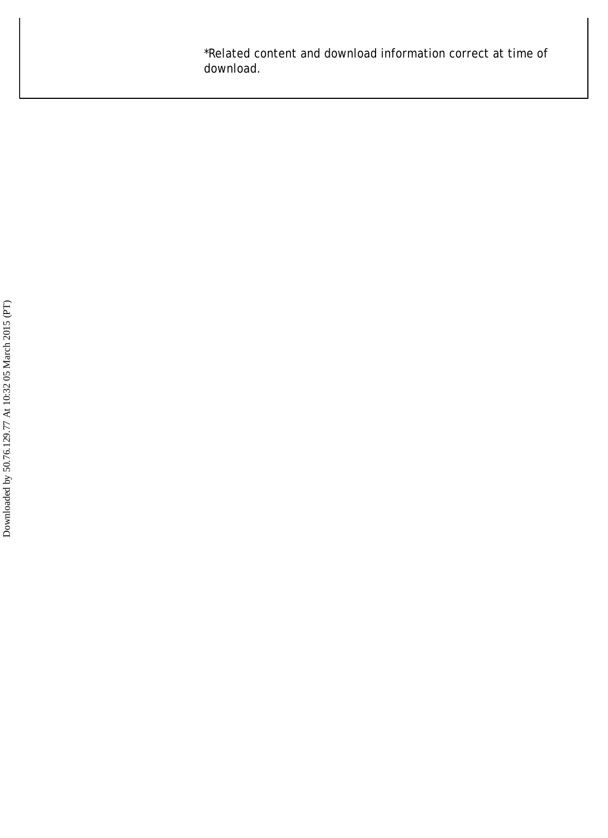\*Related content and download information correct at time of download.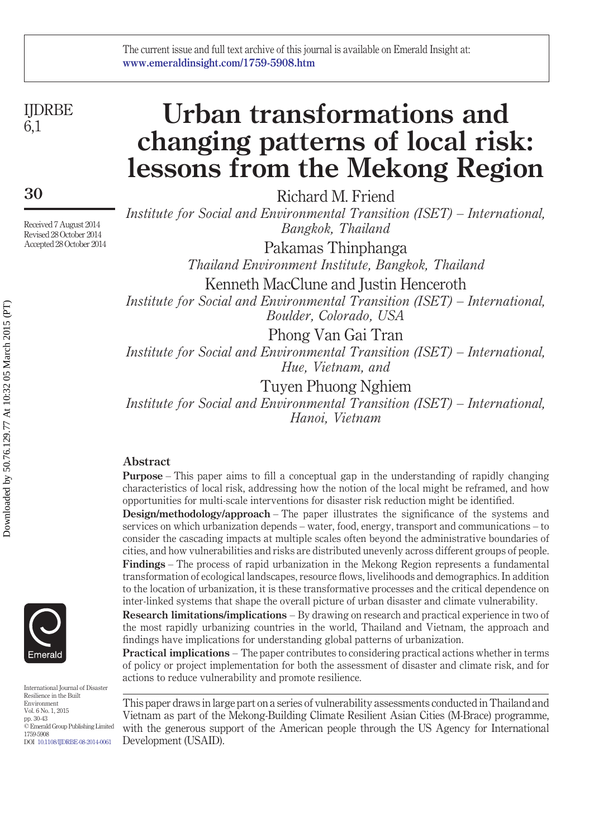#### The current issue and full text archive of this journal is available on Emerald Insight at: **www.emeraldinsight.com/1759-5908.htm**

IJDRBE 6,1

**30**

Received 7 August 2014 Revised 28 October 2014 Accepted 28 October 2014

# **Urban transformations and changing patterns of local risk: lessons from the Mekong Region**

Richard M. Friend *Institute for Social and Environmental Transition (ISET) – International, Bangkok, Thailand*

Pakamas Thinphanga *Thailand Environment Institute, Bangkok, Thailand* Kenneth MacClune and Justin Henceroth *Institute for Social and Environmental Transition (ISET) – International, Boulder, Colorado, USA*

Phong Van Gai Tran *Institute for Social and Environmental Transition (ISET) – International, Hue, Vietnam, and*

Tuyen Phuong Nghiem *Institute for Social and Environmental Transition (ISET) – International, Hanoi, Vietnam*

### **Abstract**

**Purpose** – This paper aims to fill a conceptual gap in the understanding of rapidly changing characteristics of local risk, addressing how the notion of the local might be reframed, and how opportunities for multi-scale interventions for disaster risk reduction might be identified.

**Design/methodology/approach** – The paper illustrates the significance of the systems and services on which urbanization depends – water, food, energy, transport and communications – to consider the cascading impacts at multiple scales often beyond the administrative boundaries of cities, and how vulnerabilities and risks are distributed unevenly across different groups of people. **Findings** – The process of rapid urbanization in the Mekong Region represents a fundamental

transformation of ecological landscapes, resource flows, livelihoods and demographics. In addition to the location of urbanization, it is these transformative processes and the critical dependence on inter-linked systems that shape the overall picture of urban disaster and climate vulnerability.

**Research limitations/implications** – By drawing on research and practical experience in two of the most rapidly urbanizing countries in the world, Thailand and Vietnam, the approach and findings have implications for understanding global patterns of urbanization.

**Practical implications** – The paper contributes to considering practical actions whether in terms of policy or project implementation for both the assessment of disaster and climate risk, and for actions to reduce vulnerability and promote resilience.

International Journal of Disaster Resilience in the Built Environment Vol. 6 No. 1, 2015 pp. 30-43 © Emerald Group Publishing Limited 1759-5908 DOI [10.1108/IJDRBE-08-2014-0061](http://dx.doi.org/10.1108/IJDRBE-08-2014-0061)

This paper draws in large part on a series of vulnerability assessments conducted in Thailand and Vietnam as part of the Mekong-Building Climate Resilient Asian Cities (M-Brace) programme, with the generous support of the American people through the US Agency for International Development (USAID).

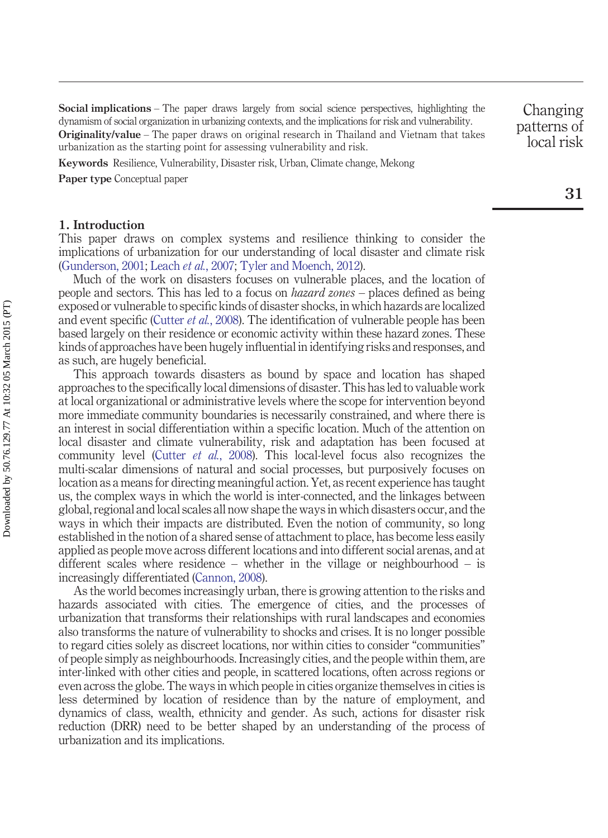**Social implications** – The paper draws largely from social science perspectives, highlighting the dynamism of social organization in urbanizing contexts, and the implications for risk and vulnerability. **Originality/value** – The paper draws on original research in Thailand and Vietnam that takes

urbanization as the starting point for assessing vulnerability and risk.

**Keywords** Resilience, Vulnerability, Disaster risk, Urban, Climate change, Mekong

**Paper type** Conceptual paper

#### **1. Introduction**

This paper draws on complex systems and resilience thinking to consider the implications of urbanization for our understanding of local disaster and climate risk [\(Gunderson, 2001;](#page-13-0) [Leach](#page-13-1) *et al.*, 2007; [Tyler and Moench, 2012\)](#page-14-0).

Much of the work on disasters focuses on vulnerable places, and the location of people and sectors. This has led to a focus on *hazard zones* – places defined as being exposed or vulnerable to specific kinds of disaster shocks, in which hazards are localized and event specific [\(Cutter](#page-13-2) *et al.*, 2008). The identification of vulnerable people has been based largely on their residence or economic activity within these hazard zones. These kinds of approaches have been hugely influential in identifying risks and responses, and as such, are hugely beneficial.

This approach towards disasters as bound by space and location has shaped approaches to the specifically local dimensions of disaster. This has led to valuable work at local organizational or administrative levels where the scope for intervention beyond more immediate community boundaries is necessarily constrained, and where there is an interest in social differentiation within a specific location. Much of the attention on local disaster and climate vulnerability, risk and adaptation has been focused at community level (Cutter *et al.*[, 2008\)](#page-13-2). This local-level focus also recognizes the multi-scalar dimensions of natural and social processes, but purposively focuses on location as a means for directing meaningful action. Yet, as recent experience has taught us, the complex ways in which the world is inter-connected, and the linkages between global, regional and local scales all now shape the ways in which disasters occur, and the ways in which their impacts are distributed. Even the notion of community, so long established in the notion of a shared sense of attachment to place, has become less easily applied as people move across different locations and into different social arenas, and at different scales where residence – whether in the village or neighbourhood – is increasingly differentiated [\(Cannon, 2008\)](#page-13-3).

As the world becomes increasingly urban, there is growing attention to the risks and hazards associated with cities. The emergence of cities, and the processes of urbanization that transforms their relationships with rural landscapes and economies also transforms the nature of vulnerability to shocks and crises. It is no longer possible to regard cities solely as discreet locations, nor within cities to consider "communities" of people simply as neighbourhoods. Increasingly cities, and the people within them, are inter-linked with other cities and people, in scattered locations, often across regions or even across the globe. The ways in which people in cities organize themselves in cities is less determined by location of residence than by the nature of employment, and dynamics of class, wealth, ethnicity and gender. As such, actions for disaster risk reduction (DRR) need to be better shaped by an understanding of the process of urbanization and its implications.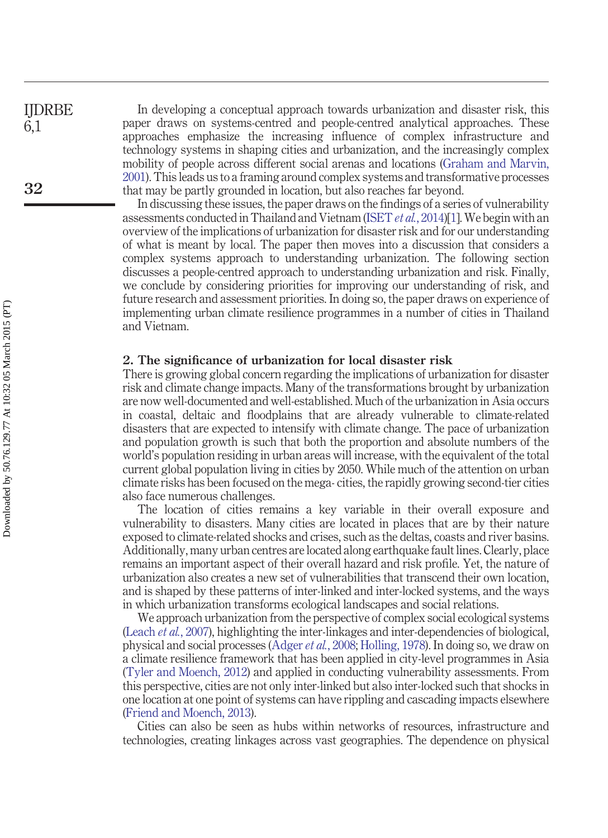In developing a conceptual approach towards urbanization and disaster risk, this paper draws on systems-centred and people-centred analytical approaches. These approaches emphasize the increasing influence of complex infrastructure and technology systems in shaping cities and urbanization, and the increasingly complex mobility of people across different social arenas and locations [\(Graham and Marvin,](#page-13-4) [2001\)](#page-13-4). This leads us to a framing around complex systems and transformative processes that may be partly grounded in location, but also reaches far beyond.

In discussing these issues, the paper draws on the findings of a series of vulnerability assessments conducted in Thailand and Vietnam (ISET*et al.*[, 2014\)](#page-13-5)[\[1\]](#page-12-0). We begin with an overview of the implications of urbanization for disaster risk and for our understanding of what is meant by local. The paper then moves into a discussion that considers a complex systems approach to understanding urbanization. The following section discusses a people-centred approach to understanding urbanization and risk. Finally, we conclude by considering priorities for improving our understanding of risk, and future research and assessment priorities. In doing so, the paper draws on experience of implementing urban climate resilience programmes in a number of cities in Thailand and Vietnam.

#### **2. The significance of urbanization for local disaster risk**

There is growing global concern regarding the implications of urbanization for disaster risk and climate change impacts. Many of the transformations brought by urbanization are now well-documented and well-established. Much of the urbanization in Asia occurs in coastal, deltaic and floodplains that are already vulnerable to climate-related disasters that are expected to intensify with climate change. The pace of urbanization and population growth is such that both the proportion and absolute numbers of the world's population residing in urban areas will increase, with the equivalent of the total current global population living in cities by 2050. While much of the attention on urban climate risks has been focused on the mega- cities, the rapidly growing second-tier cities also face numerous challenges.

The location of cities remains a key variable in their overall exposure and vulnerability to disasters. Many cities are located in places that are by their nature exposed to climate-related shocks and crises, such as the deltas, coasts and river basins. Additionally, many urban centres are located along earthquake fault lines. Clearly, place remains an important aspect of their overall hazard and risk profile. Yet, the nature of urbanization also creates a new set of vulnerabilities that transcend their own location, and is shaped by these patterns of inter-linked and inter-locked systems, and the ways in which urbanization transforms ecological landscapes and social relations.

We approach urbanization from the perspective of complex social ecological systems [\(Leach](#page-13-1) *et al.*, 2007), highlighting the inter-linkages and inter-dependencies of biological, physical and social processes [\(Adger](#page-13-6) *et al.*, 2008; [Holling, 1978\)](#page-13-7). In doing so, we draw on a climate resilience framework that has been applied in city-level programmes in Asia [\(Tyler and Moench, 2012\)](#page-14-0) and applied in conducting vulnerability assessments. From this perspective, cities are not only inter-linked but also inter-locked such that shocks in one location at one point of systems can have rippling and cascading impacts elsewhere [\(Friend and Moench, 2013\)](#page-13-8).

Cities can also be seen as hubs within networks of resources, infrastructure and technologies, creating linkages across vast geographies. The dependence on physical

IJDRBE 6,1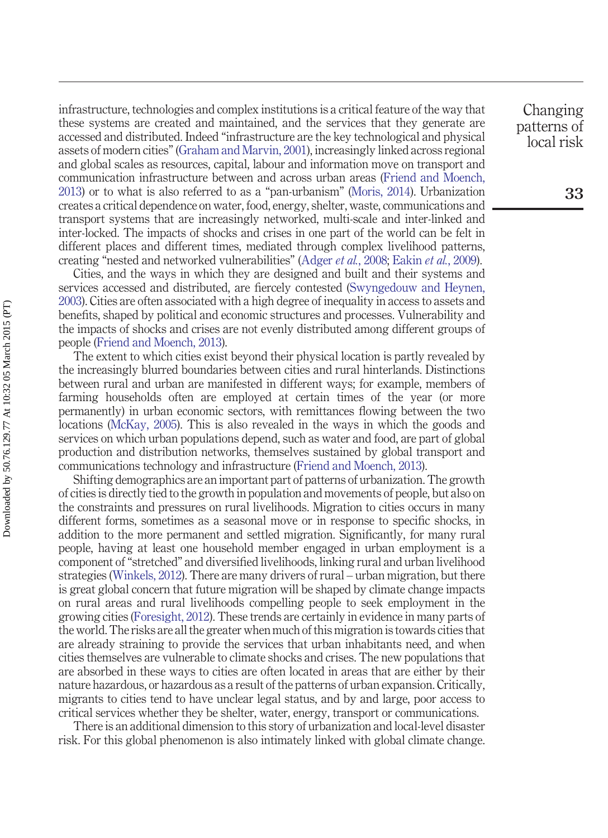infrastructure, technologies and complex institutions is a critical feature of the way that these systems are created and maintained, and the services that they generate are accessed and distributed. Indeed "infrastructure are the key technological and physical assets of modern cities" [\(Graham and Marvin, 2001\)](#page-13-4), increasingly linked across regional and global scales as resources, capital, labour and information move on transport and communication infrastructure between and across urban areas [\(Friend and Moench,](#page-13-8) [2013\)](#page-13-8) or to what is also referred to as a "pan-urbanism" [\(Moris, 2014\)](#page-14-1). Urbanization creates a critical dependence on water, food, energy, shelter, waste, communications and transport systems that are increasingly networked, multi-scale and inter-linked and inter-locked. The impacts of shocks and crises in one part of the world can be felt in different places and different times, mediated through complex livelihood patterns, creating "nested and networked vulnerabilities" [\(Adger](#page-13-6) *et al.*, 2008; Eakin *et al.*[, 2009\)](#page-13-9).

Cities, and the ways in which they are designed and built and their systems and services accessed and distributed, are fiercely contested [\(Swyngedouw and Heynen,](#page-14-2) [2003\)](#page-14-2). Cities are often associated with a high degree of inequality in access to assets and benefits, shaped by political and economic structures and processes. Vulnerability and the impacts of shocks and crises are not evenly distributed among different groups of people [\(Friend and Moench, 2013\)](#page-13-8).

The extent to which cities exist beyond their physical location is partly revealed by the increasingly blurred boundaries between cities and rural hinterlands. Distinctions between rural and urban are manifested in different ways; for example, members of farming households often are employed at certain times of the year (or more permanently) in urban economic sectors, with remittances flowing between the two locations [\(McKay, 2005\)](#page-13-10). This is also revealed in the ways in which the goods and services on which urban populations depend, such as water and food, are part of global production and distribution networks, themselves sustained by global transport and communications technology and infrastructure [\(Friend and Moench, 2013\)](#page-13-8).

Shifting demographics are an important part of patterns of urbanization. The growth of cities is directly tied to the growth in population and movements of people, but also on the constraints and pressures on rural livelihoods. Migration to cities occurs in many different forms, sometimes as a seasonal move or in response to specific shocks, in addition to the more permanent and settled migration. Significantly, for many rural people, having at least one household member engaged in urban employment is a component of "stretched" and diversified livelihoods, linking rural and urban livelihood strategies [\(Winkels, 2012\)](#page-14-3). There are many drivers of rural – urban migration, but there is great global concern that future migration will be shaped by climate change impacts on rural areas and rural livelihoods compelling people to seek employment in the growing cities [\(Foresight, 2012\)](#page-13-11). These trends are certainly in evidence in many parts of the world. The risks are all the greater when much of this migration is towards cities that are already straining to provide the services that urban inhabitants need, and when cities themselves are vulnerable to climate shocks and crises. The new populations that are absorbed in these ways to cities are often located in areas that are either by their nature hazardous, or hazardous as a result of the patterns of urban expansion. Critically, migrants to cities tend to have unclear legal status, and by and large, poor access to critical services whether they be shelter, water, energy, transport or communications.

There is an additional dimension to this story of urbanization and local-level disaster risk. For this global phenomenon is also intimately linked with global climate change.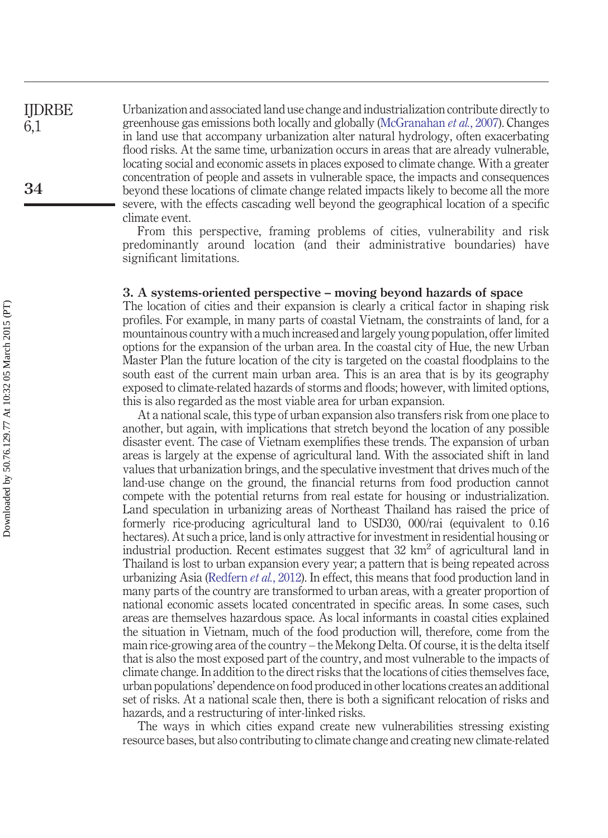Urbanization and associated land use change and industrialization contribute directly to greenhouse gas emissions both locally and globally [\(McGranahan](#page-13-12) *et al.*, 2007). Changes in land use that accompany urbanization alter natural hydrology, often exacerbating flood risks. At the same time, urbanization occurs in areas that are already vulnerable, locating social and economic assets in places exposed to climate change. With a greater concentration of people and assets in vulnerable space, the impacts and consequences beyond these locations of climate change related impacts likely to become all the more severe, with the effects cascading well beyond the geographical location of a specific climate event.

From this perspective, framing problems of cities, vulnerability and risk predominantly around location (and their administrative boundaries) have significant limitations.

#### **3. A systems-oriented perspective – moving beyond hazards of space**

The location of cities and their expansion is clearly a critical factor in shaping risk profiles. For example, in many parts of coastal Vietnam, the constraints of land, for a mountainous country with a much increased and largely young population, offer limited options for the expansion of the urban area. In the coastal city of Hue, the new Urban Master Plan the future location of the city is targeted on the coastal floodplains to the south east of the current main urban area. This is an area that is by its geography exposed to climate-related hazards of storms and floods; however, with limited options, this is also regarded as the most viable area for urban expansion.

At a national scale, this type of urban expansion also transfers risk from one place to another, but again, with implications that stretch beyond the location of any possible disaster event. The case of Vietnam exemplifies these trends. The expansion of urban areas is largely at the expense of agricultural land. With the associated shift in land values that urbanization brings, and the speculative investment that drives much of the land-use change on the ground, the financial returns from food production cannot compete with the potential returns from real estate for housing or industrialization. Land speculation in urbanizing areas of Northeast Thailand has raised the price of formerly rice-producing agricultural land to USD30, 000/rai (equivalent to 0.16 hectares). At such a price, land is only attractive for investment in residential housing or industrial production. Recent estimates suggest that  $32 \text{ km}^2$  of agricultural land in Thailand is lost to urban expansion every year; a pattern that is being repeated across urbanizing Asia [\(Redfern](#page-14-4) *et al.*, 2012). In effect, this means that food production land in many parts of the country are transformed to urban areas, with a greater proportion of national economic assets located concentrated in specific areas. In some cases, such areas are themselves hazardous space. As local informants in coastal cities explained the situation in Vietnam, much of the food production will, therefore, come from the main rice-growing area of the country – the Mekong Delta. Of course, it is the delta itself that is also the most exposed part of the country, and most vulnerable to the impacts of climate change. In addition to the direct risks that the locations of cities themselves face, urban populations' dependence on food produced in other locations creates an additional set of risks. At a national scale then, there is both a significant relocation of risks and hazards, and a restructuring of inter-linked risks.

The ways in which cities expand create new vulnerabilities stressing existing resource bases, but also contributing to climate change and creating new climate-related

IJDRBE 6,1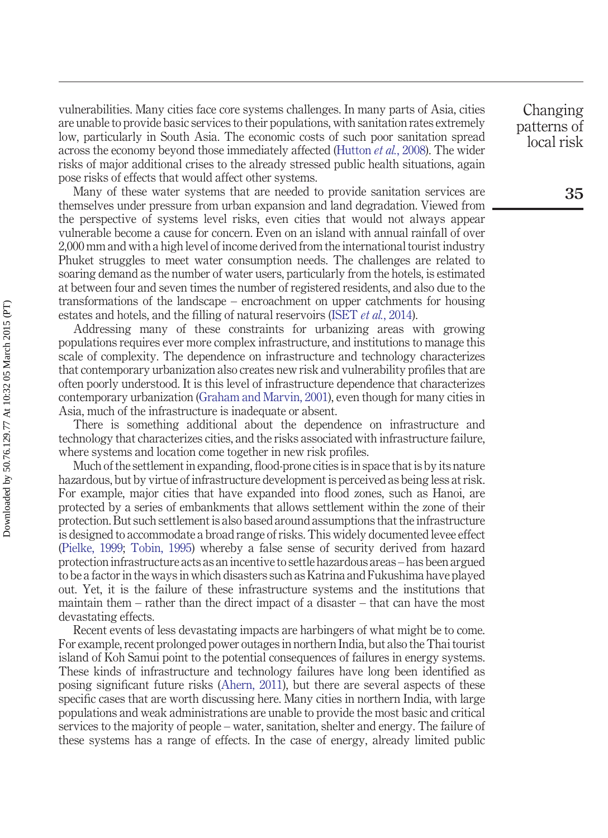vulnerabilities. Many cities face core systems challenges. In many parts of Asia, cities are unable to provide basic services to their populations, with sanitation rates extremely low, particularly in South Asia. The economic costs of such poor sanitation spread across the economy beyond those immediately affected [\(Hutton](#page-13-13) *et al.*, 2008). The wider risks of major additional crises to the already stressed public health situations, again pose risks of effects that would affect other systems.

Many of these water systems that are needed to provide sanitation services are themselves under pressure from urban expansion and land degradation. Viewed from the perspective of systems level risks, even cities that would not always appear vulnerable become a cause for concern. Even on an island with annual rainfall of over 2,000 mm and with a high level of income derived from the international tourist industry Phuket struggles to meet water consumption needs. The challenges are related to soaring demand as the number of water users, particularly from the hotels, is estimated at between four and seven times the number of registered residents, and also due to the transformations of the landscape – encroachment on upper catchments for housing estates and hotels, and the filling of natural reservoirs (ISET *et al.*[, 2014\)](#page-13-5).

Addressing many of these constraints for urbanizing areas with growing populations requires ever more complex infrastructure, and institutions to manage this scale of complexity. The dependence on infrastructure and technology characterizes that contemporary urbanization also creates new risk and vulnerability profiles that are often poorly understood. It is this level of infrastructure dependence that characterizes contemporary urbanization [\(Graham and Marvin, 2001\)](#page-13-4), even though for many cities in Asia, much of the infrastructure is inadequate or absent.

There is something additional about the dependence on infrastructure and technology that characterizes cities, and the risks associated with infrastructure failure, where systems and location come together in new risk profiles.

Much of the settlement in expanding, flood-prone cities is in space that is by its nature hazardous, but by virtue of infrastructure development is perceived as being less at risk. For example, major cities that have expanded into flood zones, such as Hanoi, are protected by a series of embankments that allows settlement within the zone of their protection. But such settlement is also based around assumptions that the infrastructure is designed to accommodate a broad range of risks. This widely documented levee effect [\(Pielke, 1999;](#page-14-5) [Tobin, 1995\)](#page-14-6) whereby a false sense of security derived from hazard protection infrastructure acts as an incentive to settle hazardous areas – has been argued to be a factor in the ways in which disasters such as Katrina and Fukushima have played out. Yet, it is the failure of these infrastructure systems and the institutions that maintain them – rather than the direct impact of a disaster – that can have the most devastating effects.

Recent events of less devastating impacts are harbingers of what might be to come. For example, recent prolonged power outages in northern India, but also the Thai tourist island of Koh Samui point to the potential consequences of failures in energy systems. These kinds of infrastructure and technology failures have long been identified as posing significant future risks [\(Ahern, 2011\)](#page-13-14), but there are several aspects of these specific cases that are worth discussing here. Many cities in northern India, with large populations and weak administrations are unable to provide the most basic and critical services to the majority of people – water, sanitation, shelter and energy. The failure of these systems has a range of effects. In the case of energy, already limited public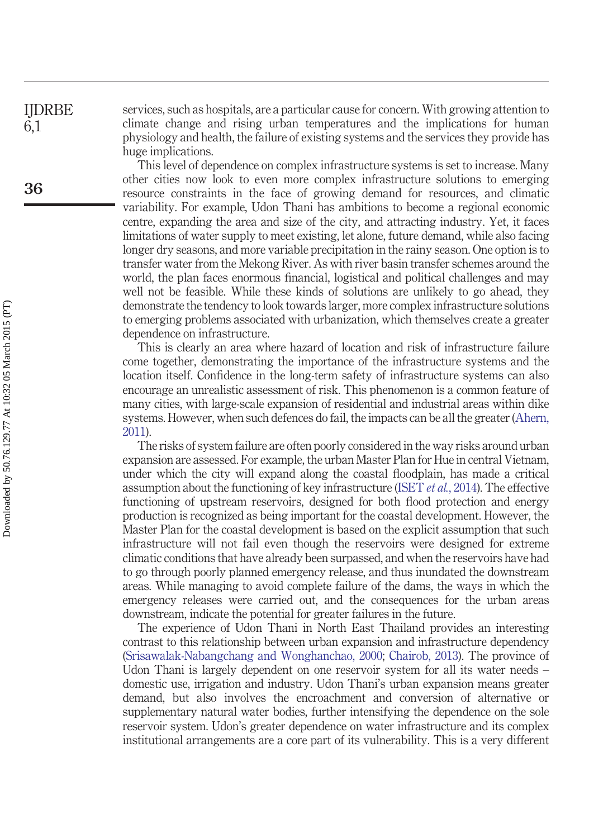services, such as hospitals, are a particular cause for concern. With growing attention to climate change and rising urban temperatures and the implications for human physiology and health, the failure of existing systems and the services they provide has huge implications.

This level of dependence on complex infrastructure systems is set to increase. Many other cities now look to even more complex infrastructure solutions to emerging resource constraints in the face of growing demand for resources, and climatic variability. For example, Udon Thani has ambitions to become a regional economic centre, expanding the area and size of the city, and attracting industry. Yet, it faces limitations of water supply to meet existing, let alone, future demand, while also facing longer dry seasons, and more variable precipitation in the rainy season. One option is to transfer water from the Mekong River. As with river basin transfer schemes around the world, the plan faces enormous financial, logistical and political challenges and may well not be feasible. While these kinds of solutions are unlikely to go ahead, they demonstrate the tendency to look towards larger, more complex infrastructure solutions to emerging problems associated with urbanization, which themselves create a greater dependence on infrastructure.

This is clearly an area where hazard of location and risk of infrastructure failure come together, demonstrating the importance of the infrastructure systems and the location itself. Confidence in the long-term safety of infrastructure systems can also encourage an unrealistic assessment of risk. This phenomenon is a common feature of many cities, with large-scale expansion of residential and industrial areas within dike systems. However, when such defences do fail, the impacts can be all the greater [\(Ahern,](#page-13-14) [2011\)](#page-13-14).

The risks of system failure are often poorly considered in the way risks around urban expansion are assessed. For example, the urban Master Plan for Hue in central Vietnam, under which the city will expand along the coastal floodplain, has made a critical assumption about the functioning of key infrastructure (ISET *et al.*[, 2014\)](#page-13-5). The effective functioning of upstream reservoirs, designed for both flood protection and energy production is recognized as being important for the coastal development. However, the Master Plan for the coastal development is based on the explicit assumption that such infrastructure will not fail even though the reservoirs were designed for extreme climatic conditions that have already been surpassed, and when the reservoirs have had to go through poorly planned emergency release, and thus inundated the downstream areas. While managing to avoid complete failure of the dams, the ways in which the emergency releases were carried out, and the consequences for the urban areas downstream, indicate the potential for greater failures in the future.

The experience of Udon Thani in North East Thailand provides an interesting contrast to this relationship between urban expansion and infrastructure dependency [\(Srisawalak-Nabangchang and Wonghanchao, 2000;](#page-14-7) [Chairob, 2013\)](#page-13-15). The province of Udon Thani is largely dependent on one reservoir system for all its water needs – domestic use, irrigation and industry. Udon Thani's urban expansion means greater demand, but also involves the encroachment and conversion of alternative or supplementary natural water bodies, further intensifying the dependence on the sole reservoir system. Udon's greater dependence on water infrastructure and its complex institutional arrangements are a core part of its vulnerability. This is a very different

IJDRBE 6,1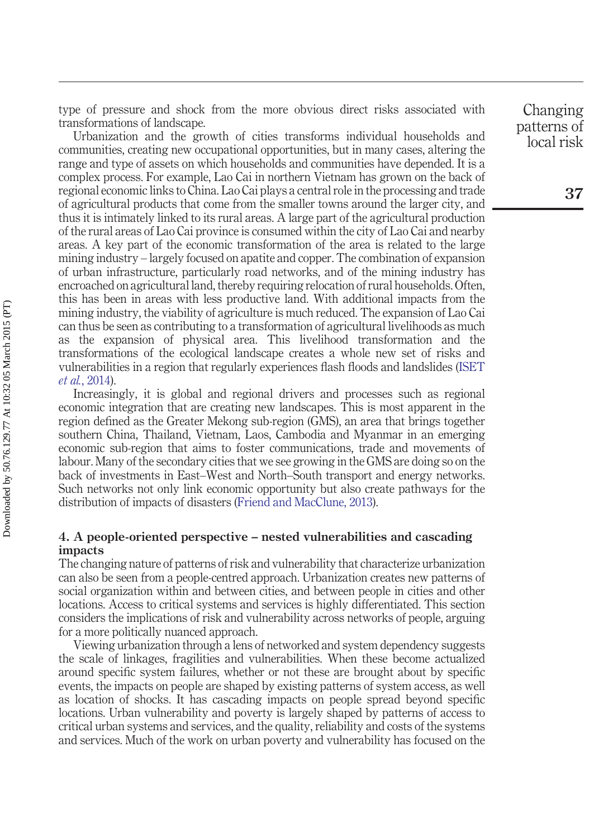type of pressure and shock from the more obvious direct risks associated with transformations of landscape.

Urbanization and the growth of cities transforms individual households and communities, creating new occupational opportunities, but in many cases, altering the range and type of assets on which households and communities have depended. It is a complex process. For example, Lao Cai in northern Vietnam has grown on the back of regional economic links to China. Lao Cai plays a central role in the processing and trade of agricultural products that come from the smaller towns around the larger city, and thus it is intimately linked to its rural areas. A large part of the agricultural production of the rural areas of Lao Cai province is consumed within the city of Lao Cai and nearby areas. A key part of the economic transformation of the area is related to the large mining industry – largely focused on apatite and copper. The combination of expansion of urban infrastructure, particularly road networks, and of the mining industry has encroached on agricultural land, thereby requiring relocation of rural households. Often, this has been in areas with less productive land. With additional impacts from the mining industry, the viability of agriculture is much reduced. The expansion of Lao Cai can thus be seen as contributing to a transformation of agricultural livelihoods as much as the expansion of physical area. This livelihood transformation and the transformations of the ecological landscape creates a whole new set of risks and vulnerabilities in a region that regularly experiences flash floods and landslides [\(ISET](#page-13-5) *et al.*[, 2014\)](#page-13-5).

Increasingly, it is global and regional drivers and processes such as regional economic integration that are creating new landscapes. This is most apparent in the region defined as the Greater Mekong sub-region (GMS), an area that brings together southern China, Thailand, Vietnam, Laos, Cambodia and Myanmar in an emerging economic sub-region that aims to foster communications, trade and movements of labour. Many of the secondary cities that we see growing in the GMS are doing so on the back of investments in East–West and North–South transport and energy networks. Such networks not only link economic opportunity but also create pathways for the distribution of impacts of disasters [\(Friend and MacClune, 2013\)](#page-13-16).

### **4. A people-oriented perspective – nested vulnerabilities and cascading impacts**

The changing nature of patterns of risk and vulnerability that characterize urbanization can also be seen from a people-centred approach. Urbanization creates new patterns of social organization within and between cities, and between people in cities and other locations. Access to critical systems and services is highly differentiated. This section considers the implications of risk and vulnerability across networks of people, arguing for a more politically nuanced approach.

Viewing urbanization through a lens of networked and system dependency suggests the scale of linkages, fragilities and vulnerabilities. When these become actualized around specific system failures, whether or not these are brought about by specific events, the impacts on people are shaped by existing patterns of system access, as well as location of shocks. It has cascading impacts on people spread beyond specific locations. Urban vulnerability and poverty is largely shaped by patterns of access to critical urban systems and services, and the quality, reliability and costs of the systems and services. Much of the work on urban poverty and vulnerability has focused on the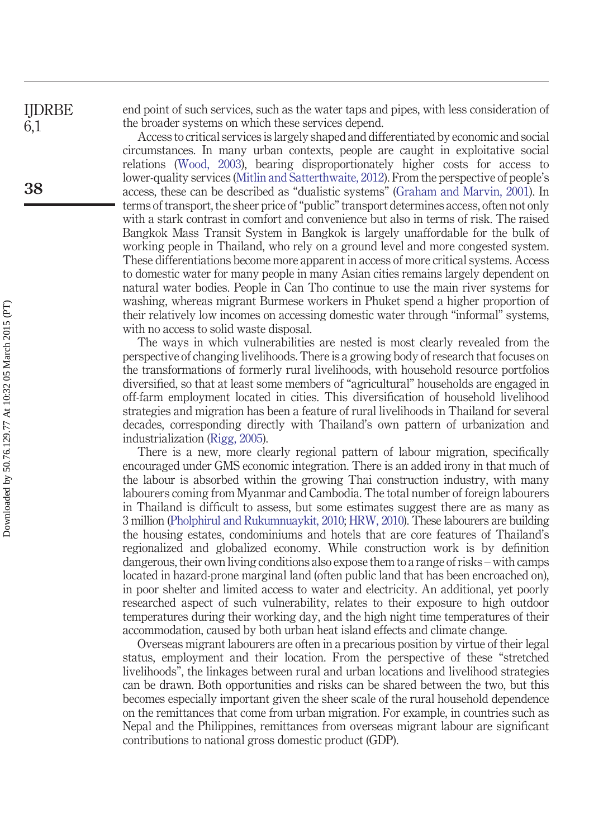IJDRBE 6,1

**38**

end point of such services, such as the water taps and pipes, with less consideration of the broader systems on which these services depend.

Access to critical services is largely shaped and differentiated by economic and social circumstances. In many urban contexts, people are caught in exploitative social relations [\(Wood, 2003\)](#page-14-8), bearing disproportionately higher costs for access to lower-quality services [\(Mitlin and Satterthwaite, 2012\)](#page-13-17). From the perspective of people's access, these can be described as "dualistic systems" [\(Graham and Marvin, 2001\)](#page-13-4). In terms of transport, the sheer price of "public" transport determines access, often not only with a stark contrast in comfort and convenience but also in terms of risk. The raised Bangkok Mass Transit System in Bangkok is largely unaffordable for the bulk of working people in Thailand, who rely on a ground level and more congested system. These differentiations become more apparent in access of more critical systems. Access to domestic water for many people in many Asian cities remains largely dependent on natural water bodies. People in Can Tho continue to use the main river systems for washing, whereas migrant Burmese workers in Phuket spend a higher proportion of their relatively low incomes on accessing domestic water through "informal" systems, with no access to solid waste disposal.

The ways in which vulnerabilities are nested is most clearly revealed from the perspective of changing livelihoods. There is a growing body of research that focuses on the transformations of formerly rural livelihoods, with household resource portfolios diversified, so that at least some members of "agricultural" households are engaged in off-farm employment located in cities. This diversification of household livelihood strategies and migration has been a feature of rural livelihoods in Thailand for several decades, corresponding directly with Thailand's own pattern of urbanization and industrialization [\(Rigg, 2005\)](#page-14-9).

There is a new, more clearly regional pattern of labour migration, specifically encouraged under GMS economic integration. There is an added irony in that much of the labour is absorbed within the growing Thai construction industry, with many labourers coming from Myanmar and Cambodia. The total number of foreign labourers in Thailand is difficult to assess, but some estimates suggest there are as many as 3 million [\(Pholphirul and Rukumnuaykit, 2010;](#page-14-10) [HRW, 2010\)](#page-13-18). These labourers are building the housing estates, condominiums and hotels that are core features of Thailand's regionalized and globalized economy. While construction work is by definition dangerous, their own living conditions also expose them to a range of risks – with camps located in hazard-prone marginal land (often public land that has been encroached on), in poor shelter and limited access to water and electricity. An additional, yet poorly researched aspect of such vulnerability, relates to their exposure to high outdoor temperatures during their working day, and the high night time temperatures of their accommodation, caused by both urban heat island effects and climate change.

Overseas migrant labourers are often in a precarious position by virtue of their legal status, employment and their location. From the perspective of these "stretched livelihoods", the linkages between rural and urban locations and livelihood strategies can be drawn. Both opportunities and risks can be shared between the two, but this becomes especially important given the sheer scale of the rural household dependence on the remittances that come from urban migration. For example, in countries such as Nepal and the Philippines, remittances from overseas migrant labour are significant contributions to national gross domestic product (GDP).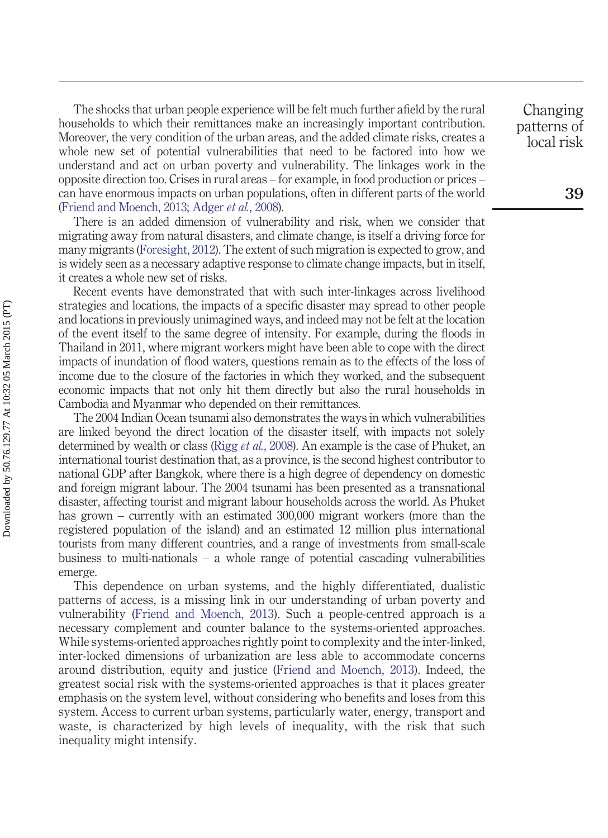The shocks that urban people experience will be felt much further afield by the rural households to which their remittances make an increasingly important contribution. Moreover, the very condition of the urban areas, and the added climate risks, creates a whole new set of potential vulnerabilities that need to be factored into how we understand and act on urban poverty and vulnerability. The linkages work in the opposite direction too. Crises in rural areas – for example, in food production or prices – can have enormous impacts on urban populations, often in different parts of the world [\(Friend and Moench, 2013;](#page-13-8) [Adger](#page-13-6) *et al.*, 2008).

There is an added dimension of vulnerability and risk, when we consider that migrating away from natural disasters, and climate change, is itself a driving force for many migrants [\(Foresight, 2012\)](#page-13-11). The extent of such migration is expected to grow, and is widely seen as a necessary adaptive response to climate change impacts, but in itself, it creates a whole new set of risks.

Recent events have demonstrated that with such inter-linkages across livelihood strategies and locations, the impacts of a specific disaster may spread to other people and locations in previously unimagined ways, and indeed may not be felt at the location of the event itself to the same degree of intensity. For example, during the floods in Thailand in 2011, where migrant workers might have been able to cope with the direct impacts of inundation of flood waters, questions remain as to the effects of the loss of income due to the closure of the factories in which they worked, and the subsequent economic impacts that not only hit them directly but also the rural households in Cambodia and Myanmar who depended on their remittances.

The 2004 Indian Ocean tsunami also demonstrates the ways in which vulnerabilities are linked beyond the direct location of the disaster itself, with impacts not solely determined by wealth or class (Rigg *et al.*[, 2008\)](#page-14-11). An example is the case of Phuket, an international tourist destination that, as a province, is the second highest contributor to national GDP after Bangkok, where there is a high degree of dependency on domestic and foreign migrant labour. The 2004 tsunami has been presented as a transnational disaster, affecting tourist and migrant labour households across the world. As Phuket has grown – currently with an estimated 300,000 migrant workers (more than the registered population of the island) and an estimated 12 million plus international tourists from many different countries, and a range of investments from small-scale business to multi-nationals – a whole range of potential cascading vulnerabilities emerge.

This dependence on urban systems, and the highly differentiated, dualistic patterns of access, is a missing link in our understanding of urban poverty and vulnerability [\(Friend and Moench, 2013\)](#page-13-8). Such a people-centred approach is a necessary complement and counter balance to the systems-oriented approaches. While systems-oriented approaches rightly point to complexity and the inter-linked, inter-locked dimensions of urbanization are less able to accommodate concerns around distribution, equity and justice [\(Friend and Moench, 2013\)](#page-13-8). Indeed, the greatest social risk with the systems-oriented approaches is that it places greater emphasis on the system level, without considering who benefits and loses from this system. Access to current urban systems, particularly water, energy, transport and waste, is characterized by high levels of inequality, with the risk that such inequality might intensify.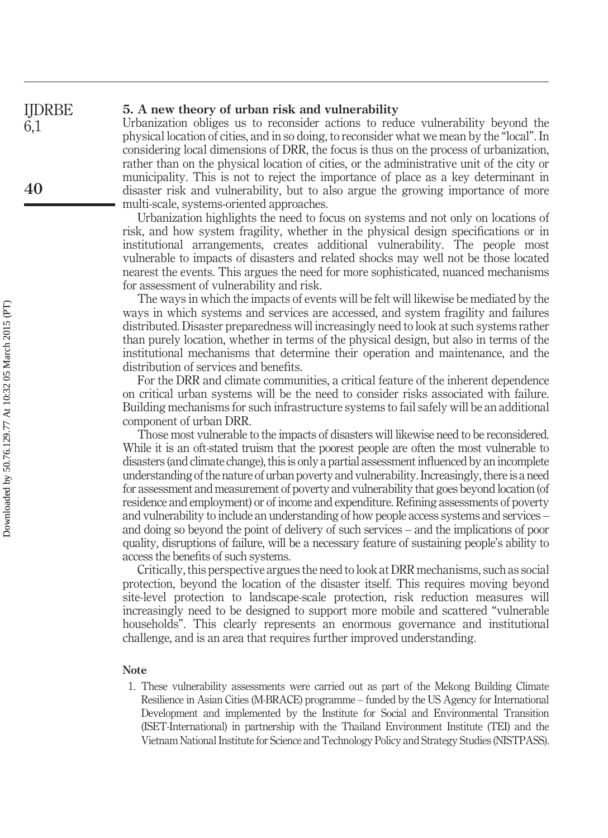#### **5. A new theory of urban risk and vulnerability** IJDRBE

Urbanization obliges us to reconsider actions to reduce vulnerability beyond the physical location of cities, and in so doing, to reconsider what we mean by the "local". In considering local dimensions of DRR, the focus is thus on the process of urbanization, rather than on the physical location of cities, or the administrative unit of the city or municipality. This is not to reject the importance of place as a key determinant in disaster risk and vulnerability, but to also argue the growing importance of more multi-scale, systems-oriented approaches.

Urbanization highlights the need to focus on systems and not only on locations of risk, and how system fragility, whether in the physical design specifications or in institutional arrangements, creates additional vulnerability. The people most vulnerable to impacts of disasters and related shocks may well not be those located nearest the events. This argues the need for more sophisticated, nuanced mechanisms for assessment of vulnerability and risk.

The ways in which the impacts of events will be felt will likewise be mediated by the ways in which systems and services are accessed, and system fragility and failures distributed. Disaster preparedness will increasingly need to look at such systems rather than purely location, whether in terms of the physical design, but also in terms of the institutional mechanisms that determine their operation and maintenance, and the distribution of services and benefits.

For the DRR and climate communities, a critical feature of the inherent dependence on critical urban systems will be the need to consider risks associated with failure. Building mechanisms for such infrastructure systems to fail safely will be an additional component of urban DRR.

Those most vulnerable to the impacts of disasters will likewise need to be reconsidered. While it is an oft-stated truism that the poorest people are often the most vulnerable to disasters (and climate change), this is only a partial assessment influenced by an incomplete understanding of the nature of urban poverty and vulnerability. Increasingly, there is a need for assessment and measurement of poverty and vulnerability that goes beyond location (of residence and employment) or of income and expenditure. Refining assessments of poverty and vulnerability to include an understanding of how people access systems and services – and doing so beyond the point of delivery of such services – and the implications of poor quality, disruptions of failure, will be a necessary feature of sustaining people's ability to access the benefits of such systems.

Critically, this perspective argues the need to look at DRR mechanisms, such as social protection, beyond the location of the disaster itself. This requires moving beyond site-level protection to landscape-scale protection, risk reduction measures will increasingly need to be designed to support more mobile and scattered "vulnerable households". This clearly represents an enormous governance and institutional challenge, and is an area that requires further improved understanding.

#### <span id="page-12-0"></span>**Note**

1. These vulnerability assessments were carried out as part of the Mekong Building Climate Resilience in Asian Cities (M-BRACE) programme – funded by the US Agency for International Development and implemented by the Institute for Social and Environmental Transition (ISET-International) in partnership with the Thailand Environment Institute (TEI) and the Vietnam National Institute for Science and Technology Policy and Strategy Studies (NISTPASS).

6,1

**40**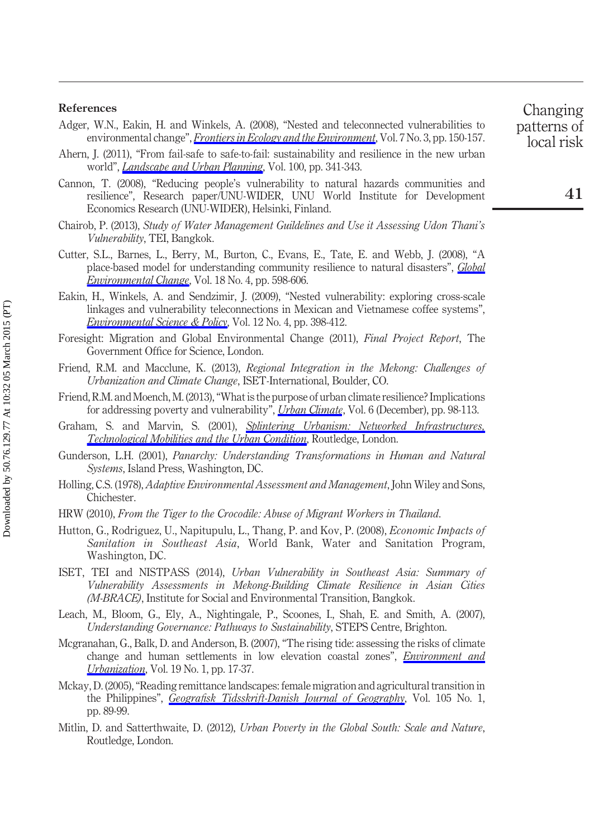#### **References**

- <span id="page-13-6"></span>Adger, W.N., Eakin, H. and Winkels, A. (2008), "Nested and teleconnected vulnerabilities to environmental change", *[Frontiers in Ecology and the Environment](http://www.emeraldinsight.com/action/showLinks?crossref=10.1890%2F070148&isi=000264977600021)*, Vol. 7 No. 3, pp. 150-157.
- <span id="page-13-14"></span>Ahern, J. (2011), "From fail-safe to safe-to-fail: sustainability and resilience in the new urban world", *[Landscape and Urban Planning](http://www.emeraldinsight.com/action/showLinks?crossref=10.1016%2Fj.landurbplan.2011.02.021&isi=000290194800010)*, Vol. 100, pp. 341-343.
- <span id="page-13-3"></span>Cannon, T. (2008), "Reducing people's vulnerability to natural hazards communities and resilience", Research paper/UNU-WIDER, UNU World Institute for Development Economics Research (UNU-WIDER), Helsinki, Finland.
- <span id="page-13-15"></span>Chairob, P. (2013), *Study of Water Management Guildelines and Use it Assessing Udon Thani's Vulnerability*, TEI, Bangkok.
- <span id="page-13-2"></span>Cutter, S.L., Barnes, L., Berry, M., Burton, C., Evans, E., Tate, E. and Webb, J. (2008), "A place-based model for understanding community resilience to natural disasters", *[Global](http://www.emeraldinsight.com/action/showLinks?crossref=10.1016%2Fj.gloenvcha.2008.07.013&isi=000261989400007) [Environmental Change](http://www.emeraldinsight.com/action/showLinks?crossref=10.1016%2Fj.gloenvcha.2008.07.013&isi=000261989400007)*, Vol. 18 No. 4, pp. 598-606.
- <span id="page-13-9"></span>Eakin, H., Winkels, A. and Sendzimir, J. (2009), "Nested vulnerability: exploring cross-scale linkages and vulnerability teleconnections in Mexican and Vietnamese coffee systems", *[Environmental Science & Policy](http://www.emeraldinsight.com/action/showLinks?crossref=10.1016%2Fj.envsci.2008.09.003&isi=000267515300004)*, Vol. 12 No. 4, pp. 398-412.
- <span id="page-13-11"></span>Foresight: Migration and Global Environmental Change (2011), *Final Project Report*, The Government Office for Science, London.
- <span id="page-13-16"></span>Friend, R.M. and Macclune, K. (2013), *Regional Integration in the Mekong: Challenges of Urbanization and Climate Change*, ISET-International, Boulder, CO.
- <span id="page-13-8"></span>Friend, R.M. and Moench, M. (2013), "What is the purpose of urban climate resilience? Implications for addressing poverty and vulnerability", *[Urban Climate](http://www.emeraldinsight.com/action/showLinks?crossref=10.1016%2Fj.uclim.2013.09.002)*, Vol. 6 (December), pp. 98-113.
- <span id="page-13-4"></span>Graham, S. and Marvin, S. (2001), *[Splintering Urbanism: Networked Infrastructures,](http://www.emeraldinsight.com/action/showLinks?crossref=10.4324%2F9780203452202) [Technological Mobilities and the Urban Condition](http://www.emeraldinsight.com/action/showLinks?crossref=10.4324%2F9780203452202)*, Routledge, London.
- <span id="page-13-0"></span>Gunderson, L.H. (2001), *Panarchy: Understanding Transformations in Human and Natural Systems*, Island Press, Washington, DC.
- <span id="page-13-7"></span>Holling, C.S. (1978), *Adaptive Environmental Assessment and Management*, John Wiley and Sons, Chichester.
- <span id="page-13-18"></span>HRW (2010), *From the Tiger to the Crocodile: Abuse of Migrant Workers in Thailand*.
- <span id="page-13-13"></span>Hutton, G., Rodriguez, U., Napitupulu, L., Thang, P. and Kov, P. (2008), *Economic Impacts of Sanitation in Southeast Asia*, World Bank, Water and Sanitation Program, Washington, DC.
- <span id="page-13-5"></span>ISET, TEI and NISTPASS (2014), *Urban Vulnerability in Southeast Asia: Summary of Vulnerability Assessments in Mekong-Building Climate Resilience in Asian Cities (M-BRACE)*, Institute for Social and Environmental Transition, Bangkok.
- <span id="page-13-1"></span>Leach, M., Bloom, G., Ely, A., Nightingale, P., Scoones, I., Shah, E. and Smith, A. (2007), *Understanding Governance: Pathways to Sustainability*, STEPS Centre, Brighton.
- <span id="page-13-12"></span>Mcgranahan, G., Balk, D. and Anderson, B. (2007), "The rising tide: assessing the risks of climate change and human settlements in low elevation coastal zones", *[Environment and](http://www.emeraldinsight.com/action/showLinks?crossref=10.1177%2F0956247807076960&isi=000246409000002) [Urbanization](http://www.emeraldinsight.com/action/showLinks?crossref=10.1177%2F0956247807076960&isi=000246409000002)*, Vol. 19 No. 1, pp. 17-37.
- <span id="page-13-10"></span>Mckay, D. (2005), "Reading remittance landscapes: female migration and agricultural transition in the Philippines", *[Geografisk Tidsskrift-Danish Journal of Geography](http://www.emeraldinsight.com/action/showLinks?crossref=10.1080%2F00167223.2005.10649529)*, Vol. 105 No. 1, pp. 89-99.
- <span id="page-13-17"></span>Mitlin, D. and Satterthwaite, D. (2012), *Urban Poverty in the Global South: Scale and Nature*, Routledge, London.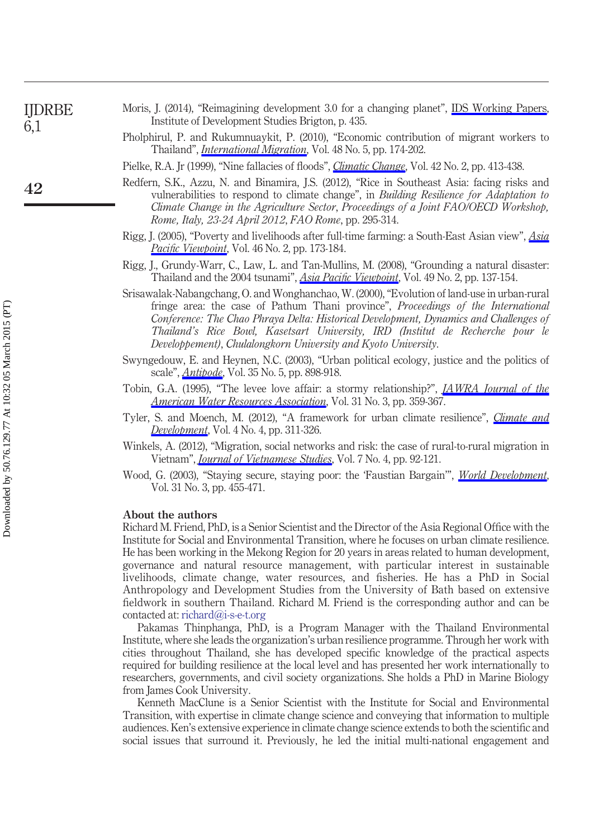| HDRBE |  |
|-------|--|
|       |  |

**42**

- <span id="page-14-10"></span><span id="page-14-1"></span>Moris, J. (2014), "Reimagining development 3.0 for a changing planet", [IDS Working Papers,](http://www.emeraldinsight.com/action/showLinks?crossref=10.1111%2Fj.2040-0209.2014.00435.x) Institute of Development Studies Brigton, p. 435.
	- Pholphirul, P. and Rukumnuaykit, P. (2010), "Economic contribution of migrant workers to Thailand", *[International Migration](http://www.emeraldinsight.com/action/showLinks?crossref=10.1111%2Fj.1468-2435.2009.00553.x&isi=000281854700006)*, Vol. 48 No. 5, pp. 174-202.

<span id="page-14-5"></span>Pielke, R.A. Jr (1999), "Nine fallacies of floods", *[Climatic Change](http://www.emeraldinsight.com/action/showLinks?crossref=10.1023%2FA%3A1005457318876&isi=000081003600003)*, Vol. 42 No. 2, pp. 413-438.

- <span id="page-14-11"></span><span id="page-14-9"></span><span id="page-14-7"></span><span id="page-14-4"></span>Redfern, S.K., Azzu, N. and Binamira, J.S. (2012), "Rice in Southeast Asia: facing risks and vulnerabilities to respond to climate change", in *Building Resilience for Adaptation to Climate Change in the Agriculture Sector*, *Proceedings of a Joint FAO/OECD Workshop, Rome, Italy, 23-24 April 2012*, *FAO Rome*, pp. 295-314.
	- Rigg, J. (2005), "Poverty and livelihoods after full-time farming: a South-East Asian view", *[Asia](http://www.emeraldinsight.com/action/showLinks?crossref=10.1111%2Fj.1467-8373.2005.00266.x) [Pacific Viewpoint](http://www.emeraldinsight.com/action/showLinks?crossref=10.1111%2Fj.1467-8373.2005.00266.x)*, Vol. 46 No. 2, pp. 173-184.
	- Rigg, J., Grundy-Warr, C., Law, L. and Tan-Mullins, M. (2008), "Grounding a natural disaster: Thailand and the 2004 tsunami", *[Asia Pacific Viewpoint](http://www.emeraldinsight.com/action/showLinks?crossref=10.1111%2Fj.1467-8373.2008.00366.x&isi=000257513900001)*, Vol. 49 No. 2, pp. 137-154.
	- Srisawalak-Nabangchang, O. and Wonghanchao, W. (2000), "Evolution of land-use in urban-rural fringe area: the case of Pathum Thani province", *Proceedings of the International Conference: The Chao Phraya Delta: Historical Development, Dynamics and Challenges of Thailand's Rice Bowl, Kasetsart University, IRD (Institut de Recherche pour le Developpement)*, *Chulalongkorn University and Kyoto University*.
	- Swyngedouw, E. and Heynen, N.C. (2003), "Urban political ecology, justice and the politics of scale", *[Antipode](http://www.emeraldinsight.com/action/showLinks?crossref=10.1111%2Fj.1467-8330.2003.00364.x&isi=000187790300006)*, Vol. 35 No. 5, pp. 898-918.
	- Tobin, G.A. (1995), "The levee love affair: a stormy relationship?", *[JAWRA Journal of the](http://www.emeraldinsight.com/action/showLinks?crossref=10.1111%2Fj.1752-1688.1995.tb04025.x) [American Water Resources Association](http://www.emeraldinsight.com/action/showLinks?crossref=10.1111%2Fj.1752-1688.1995.tb04025.x)*, Vol. 31 No. 3, pp. 359-367.
	- Tyler, S. and Moench, M. (2012), "A framework for urban climate resilience", *[Climate and](http://www.emeraldinsight.com/action/showLinks?crossref=10.1080%2F17565529.2012.745389) [Development](http://www.emeraldinsight.com/action/showLinks?crossref=10.1080%2F17565529.2012.745389)*, Vol. 4 No. 4, pp. 311-326.
	- Winkels, A. (2012), "Migration, social networks and risk: the case of rural-to-rural migration in Vietnam", *[Journal of Vietnamese Studies](http://www.emeraldinsight.com/action/showLinks?crossref=10.1525%2Fvs.2012.7.4.92)*, Vol. 7 No. 4, pp. 92-121.
	- Wood, G. (2003), "Staying secure, staying poor: the 'Faustian Bargain'", *[World Development](http://www.emeraldinsight.com/action/showLinks?crossref=10.1016%2FS0305-750X%2802%2900213-9&isi=000181956500005)*, Vol. 31 No. 3, pp. 455-471.

#### <span id="page-14-8"></span><span id="page-14-6"></span><span id="page-14-3"></span><span id="page-14-2"></span><span id="page-14-0"></span>**About the authors**

Richard M. Friend, PhD, is a Senior Scientist and the Director of the Asia Regional Office with the Institute for Social and Environmental Transition, where he focuses on urban climate resilience. He has been working in the Mekong Region for 20 years in areas related to human development, governance and natural resource management, with particular interest in sustainable livelihoods, climate change, water resources, and fisheries. He has a PhD in Social Anthropology and Development Studies from the University of Bath based on extensive fieldwork in southern Thailand. Richard M. Friend is the corresponding author and can be contacted at: [richard@i-s-e-t.org](mailto:richard@i-s-e-t.org)

Pakamas Thinphanga, PhD, is a Program Manager with the Thailand Environmental Institute, where she leads the organization's urban resilience programme. Through her work with cities throughout Thailand, she has developed specific knowledge of the practical aspects required for building resilience at the local level and has presented her work internationally to researchers, governments, and civil society organizations. She holds a PhD in Marine Biology from James Cook University.

Kenneth MacClune is a Senior Scientist with the Institute for Social and Environmental Transition, with expertise in climate change science and conveying that information to multiple audiences. Ken's extensive experience in climate change science extends to both the scientific and social issues that surround it. Previously, he led the initial multi-national engagement and